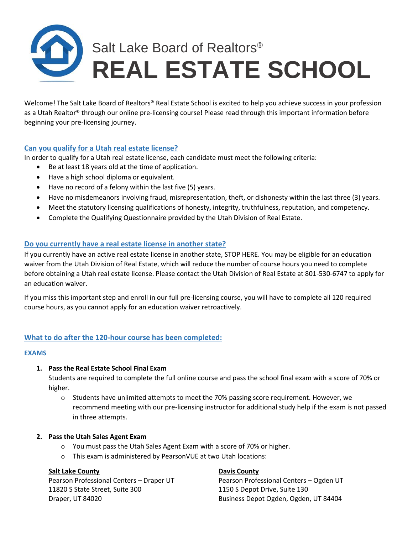# Salt Lake Board of Realtors<sup>®</sup> **REAL ESTATE SCHOOL**

Welcome! The Salt Lake Board of Realtors® Real Estate School is excited to help you achieve success in your profession as a Utah Realtor® through our online pre-licensing course! Please read through this important information before beginning your pre-licensing journey.

# **Can you qualify for a Utah real estate license?**

In order to qualify for a Utah real estate license, each candidate must meet the following criteria:

- Be at least 18 years old at the time of application.
- Have a high school diploma or equivalent.
- Have no record of a felony within the last five (5) years.
- Have no misdemeanors involving fraud, misrepresentation, theft, or dishonesty within the last three (3) years.
- Meet the statutory licensing qualifications of honesty, integrity, truthfulness, reputation, and competency.
- Complete the Qualifying Questionnaire provided by the Utah Division of Real Estate.

# **Do you currently have a real estate license in another state?**

If you currently have an active real estate license in another state, STOP HERE. You may be eligible for an education waiver from the Utah Division of Real Estate, which will reduce the number of course hours you need to complete before obtaining a Utah real estate license. Please contact the Utah Division of Real Estate at 801-530-6747 to apply for an education waiver.

If you miss this important step and enroll in our full pre-licensing course, you will have to complete all 120 required course hours, as you cannot apply for an education waiver retroactively.

# **What to do after the 120-hour course has been completed:**

## **EXAMS**

## **1. Pass the Real Estate School Final Exam**

Students are required to complete the full online course and pass the school final exam with a score of 70% or higher.

 $\circ$  Students have unlimited attempts to meet the 70% passing score requirement. However, we recommend meeting with our pre-licensing instructor for additional study help if the exam is not passed in three attempts.

## **2. Pass the Utah Sales Agent Exam**

- o You must pass the Utah Sales Agent Exam with a score of 70% or higher.
- o This exam is administered by PearsonVUE at two Utah locations:

## **Salt Lake County Davis County Davis County**

Pearson Professional Centers – Draper UT Pearson Professional Centers – Ogden UT 11820 S State Street, Suite 300 1150 S Depot Drive, Suite 130 Draper, UT 84020 Business Depot Ogden, Ogden, UT 84404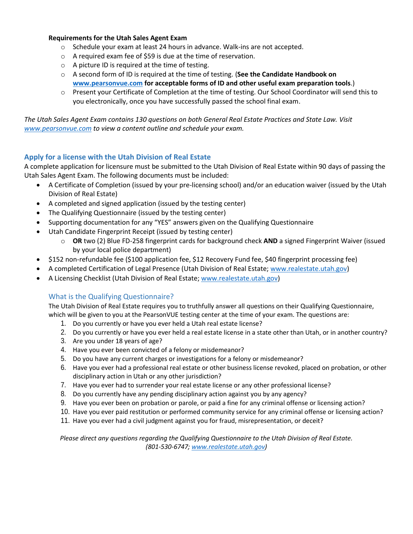## **Requirements for the Utah Sales Agent Exam**

- o Schedule your exam at least 24 hours in advance. Walk-ins are not accepted.
- o A required exam fee of \$59 is due at the time of reservation.
- o A picture ID is required at the time of testing.
- o A second form of ID is required at the time of testing. (**See the Candidate Handbook on [www.pearsonvue.com](http://www.pearsonvue.com/) for acceptable forms of ID and other useful exam preparation tools**.)
- $\circ$  Present your Certificate of Completion at the time of testing. Our School Coordinator will send this to you electronically, once you have successfully passed the school final exam.

*The Utah Sales Agent Exam contains 130 questions on both General Real Estate Practices and State Law. Visit [www.pearsonvue.com](http://www.pearsonvue.com/) to view a content outline and schedule your exam.*

# **Apply for a license with the Utah Division of Real Estate**

A complete application for licensure must be submitted to the Utah Division of Real Estate within 90 days of passing the Utah Sales Agent Exam. The following documents must be included:

- A Certificate of Completion (issued by your pre-licensing school) and/or an education waiver (issued by the Utah Division of Real Estate)
- A completed and signed application (issued by the testing center)
- The Qualifying Questionnaire (issued by the testing center)
- Supporting documentation for any "YES" answers given on the Qualifying Questionnaire
- Utah Candidate Fingerprint Receipt (issued by testing center)
	- o **OR** two (2) Blue FD-258 fingerprint cards for background check **AND** a signed Fingerprint Waiver (issued by your local police department)
- \$152 non-refundable fee (\$100 application fee, \$12 Recovery Fund fee, \$40 fingerprint processing fee)
- A completed Certification of Legal Presence (Utah Division of Real Estate; [www.realestate.utah.gov\)](http://www.realestate.utah.gov/)
- A Licensing Checklist (Utah Division of Real Estate; [www.realestate.utah.gov\)](http://www.realestate.utah.gov/)

# What is the Qualifying Questionnaire?

The Utah Division of Real Estate requires you to truthfully answer all questions on their Qualifying Questionnaire, which will be given to you at the PearsonVUE testing center at the time of your exam. The questions are:

- 1. Do you currently or have you ever held a Utah real estate license?
- 2. Do you currently or have you ever held a real estate license in a state other than Utah, or in another country?
- 3. Are you under 18 years of age?
- 4. Have you ever been convicted of a felony or misdemeanor?
- 5. Do you have any current charges or investigations for a felony or misdemeanor?
- 6. Have you ever had a professional real estate or other business license revoked, placed on probation, or other disciplinary action in Utah or any other jurisdiction?
- 7. Have you ever had to surrender your real estate license or any other professional license?
- 8. Do you currently have any pending disciplinary action against you by any agency?
- 9. Have you ever been on probation or parole, or paid a fine for any criminal offense or licensing action?
- 10. Have you ever paid restitution or performed community service for any criminal offense or licensing action?
- 11. Have you ever had a civil judgment against you for fraud, misrepresentation, or deceit?

*Please direct any questions regarding the Qualifying Questionnaire to the Utah Division of Real Estate. (801-530-6747; [www.realestate.utah.gov\)](http://www.realestate.utah.gov/)*